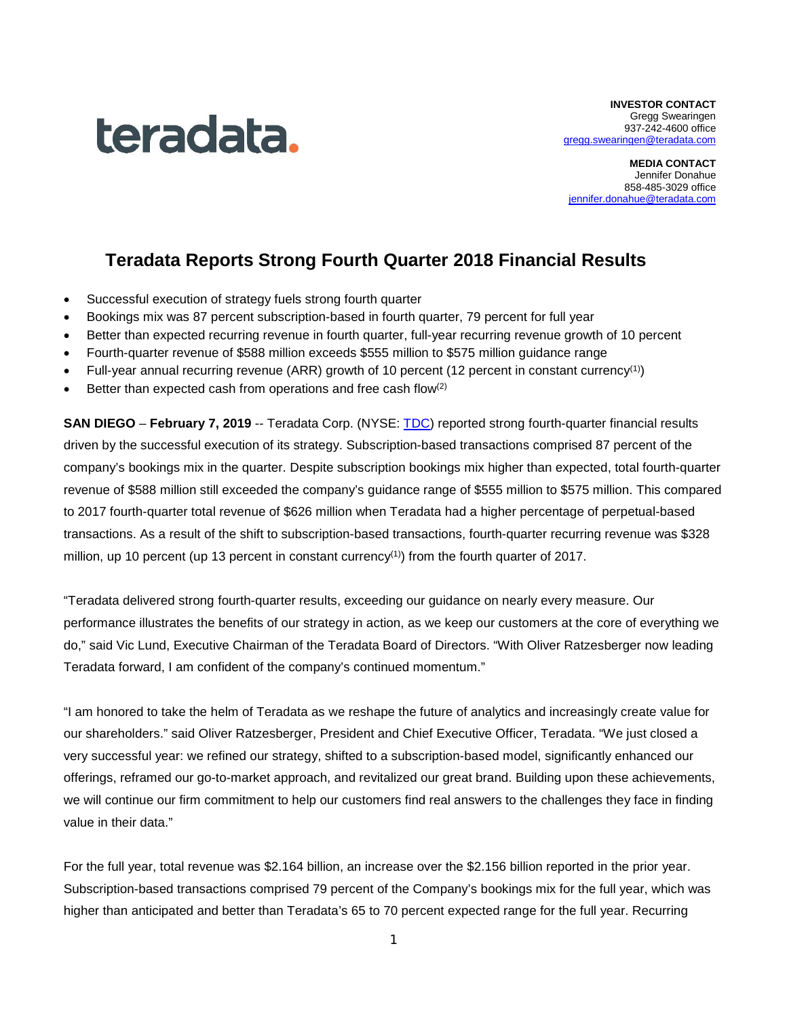

**INVESTOR CONTACT** Gregg Swearingen 937-242-4600 office [gregg.swearingen@teradata.com](mailto:gregg.swearingen@teradata.com)

**MEDIA CONTACT** Jennifer Donahue 858-485-3029 office iennifer.donahue@teradata.com

# **Teradata Reports Strong Fourth Quarter 2018 Financial Results**

- Successful execution of strategy fuels strong fourth quarter
- Bookings mix was 87 percent subscription-based in fourth quarter, 79 percent for full year
- Better than expected recurring revenue in fourth quarter, full-year recurring revenue growth of 10 percent
- Fourth-quarter revenue of \$588 million exceeds \$555 million to \$575 million guidance range
- Full-year annual recurring revenue (ARR) growth of 10 percent (12 percent in constant currency<sup>(1)</sup>)
- Better than expected cash from operations and free cash flow<sup>(2)</sup>

**SAN DIEGO** – **February 7, 2019** -- Teradata Corp. (NYSE: [TDC\)](http://investor.teradata.com/about-teradata/default.aspx) reported strong fourth-quarter financial results driven by the successful execution of its strategy. Subscription-based transactions comprised 87 percent of the company's bookings mix in the quarter. Despite subscription bookings mix higher than expected, total fourth-quarter revenue of \$588 million still exceeded the company's guidance range of \$555 million to \$575 million. This compared to 2017 fourth-quarter total revenue of \$626 million when Teradata had a higher percentage of perpetual-based transactions. As a result of the shift to subscription-based transactions, fourth-quarter recurring revenue was \$328 million, up 10 percent (up 13 percent in constant currency<sup>(1)</sup>) from the fourth quarter of 2017.

"Teradata delivered strong fourth-quarter results, exceeding our guidance on nearly every measure. Our performance illustrates the benefits of our strategy in action, as we keep our customers at the core of everything we do," said Vic Lund, Executive Chairman of the Teradata Board of Directors. "With Oliver Ratzesberger now leading Teradata forward, I am confident of the company's continued momentum."

"I am honored to take the helm of Teradata as we reshape the future of analytics and increasingly create value for our shareholders." said Oliver Ratzesberger, President and Chief Executive Officer, Teradata. "We just closed a very successful year: we refined our strategy, shifted to a subscription-based model, significantly enhanced our offerings, reframed our go-to-market approach, and revitalized our great brand. Building upon these achievements, we will continue our firm commitment to help our customers find real answers to the challenges they face in finding value in their data."

For the full year, total revenue was \$2.164 billion, an increase over the \$2.156 billion reported in the prior year. Subscription-based transactions comprised 79 percent of the Company's bookings mix for the full year, which was higher than anticipated and better than Teradata's 65 to 70 percent expected range for the full year. Recurring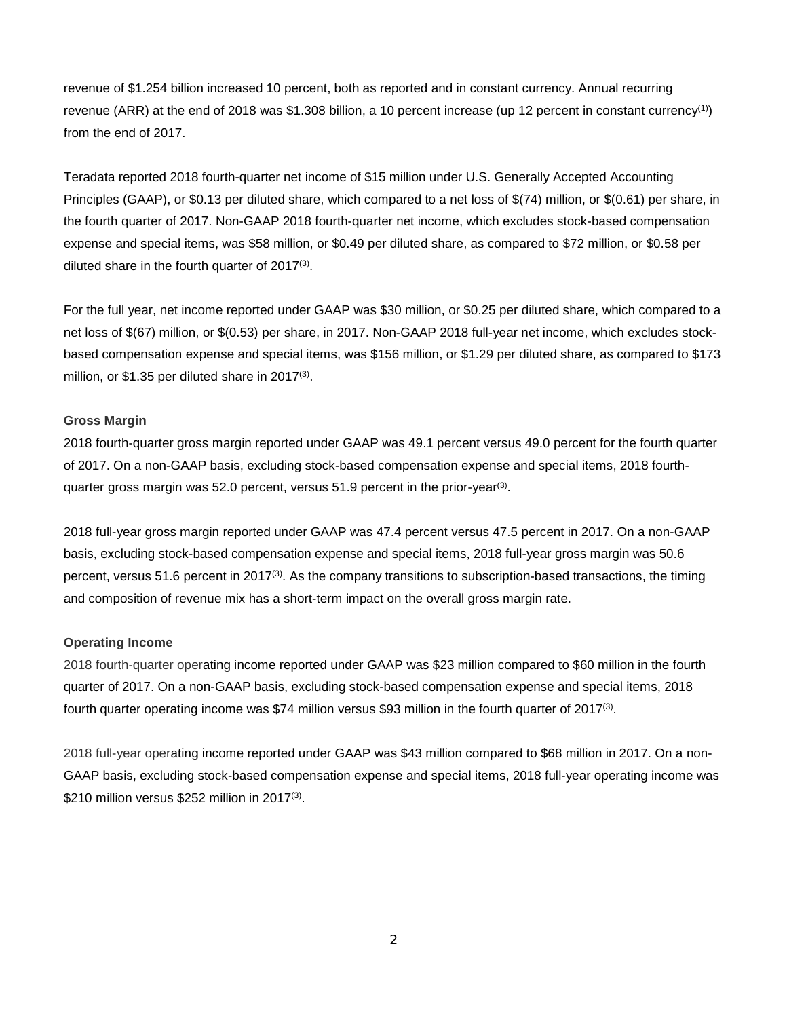revenue of \$1.254 billion increased 10 percent, both as reported and in constant currency. Annual recurring revenue (ARR) at the end of 2018 was \$1.308 billion, a 10 percent increase (up 12 percent in constant currency<sup>(1)</sup>) from the end of 2017.

Teradata reported 2018 fourth-quarter net income of \$15 million under U.S. Generally Accepted Accounting Principles (GAAP), or \$0.13 per diluted share, which compared to a net loss of \$(74) million, or \$(0.61) per share, in the fourth quarter of 2017. Non-GAAP 2018 fourth-quarter net income, which excludes stock-based compensation expense and special items, was \$58 million, or \$0.49 per diluted share, as compared to \$72 million, or \$0.58 per diluted share in the fourth quarter of 2017(3).

For the full year, net income reported under GAAP was \$30 million, or \$0.25 per diluted share, which compared to a net loss of \$(67) million, or \$(0.53) per share, in 2017. Non-GAAP 2018 full-year net income, which excludes stockbased compensation expense and special items, was \$156 million, or \$1.29 per diluted share, as compared to \$173 million, or \$1.35 per diluted share in 2017<sup>(3)</sup>.

## **Gross Margin**

2018 fourth-quarter gross margin reported under GAAP was 49.1 percent versus 49.0 percent for the fourth quarter of 2017. On a non-GAAP basis, excluding stock-based compensation expense and special items, 2018 fourthquarter gross margin was 52.0 percent, versus 51.9 percent in the prior-year<sup>(3)</sup>.

2018 full-year gross margin reported under GAAP was 47.4 percent versus 47.5 percent in 2017. On a non-GAAP basis, excluding stock-based compensation expense and special items, 2018 full-year gross margin was 50.6 percent, versus 51.6 percent in  $2017^{(3)}$ . As the company transitions to subscription-based transactions, the timing and composition of revenue mix has a short-term impact on the overall gross margin rate.

## **Operating Income**

2018 fourth-quarter operating income reported under GAAP was \$23 million compared to \$60 million in the fourth quarter of 2017. On a non-GAAP basis, excluding stock-based compensation expense and special items, 2018 fourth quarter operating income was \$74 million versus \$93 million in the fourth quarter of 2017(3).

2018 full-year operating income reported under GAAP was \$43 million compared to \$68 million in 2017. On a non-GAAP basis, excluding stock-based compensation expense and special items, 2018 full-year operating income was \$210 million versus \$252 million in 2017(3).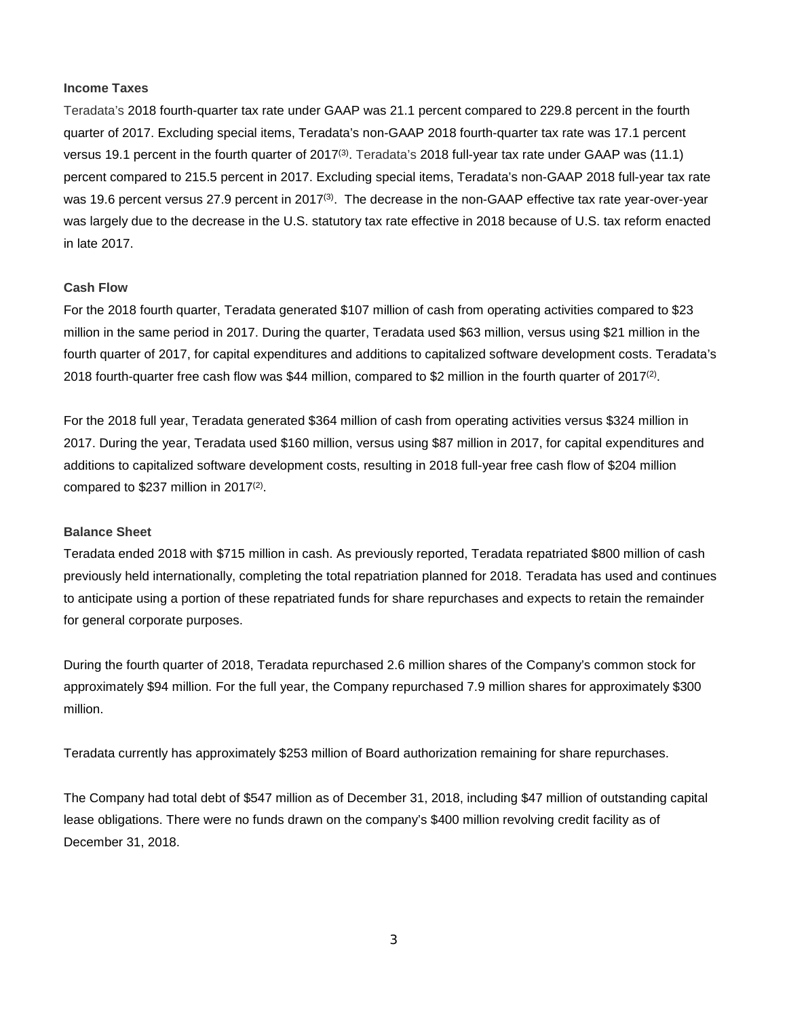#### **Income Taxes**

Teradata's 2018 fourth-quarter tax rate under GAAP was 21.1 percent compared to 229.8 percent in the fourth quarter of 2017. Excluding special items, Teradata's non-GAAP 2018 fourth-quarter tax rate was 17.1 percent versus 19.1 percent in the fourth quarter of 2017<sup>(3)</sup>. Teradata's 2018 full-year tax rate under GAAP was (11.1) percent compared to 215.5 percent in 2017. Excluding special items, Teradata's non-GAAP 2018 full-year tax rate was 19.6 percent versus 27.9 percent in 2017<sup>(3)</sup>. The decrease in the non-GAAP effective tax rate year-over-year was largely due to the decrease in the U.S. statutory tax rate effective in 2018 because of U.S. tax reform enacted in late 2017.

## **Cash Flow**

For the 2018 fourth quarter, Teradata generated \$107 million of cash from operating activities compared to \$23 million in the same period in 2017. During the quarter, Teradata used \$63 million, versus using \$21 million in the fourth quarter of 2017, for capital expenditures and additions to capitalized software development costs. Teradata's 2018 fourth-quarter free cash flow was \$44 million, compared to \$2 million in the fourth quarter of 2017(2).

For the 2018 full year, Teradata generated \$364 million of cash from operating activities versus \$324 million in 2017. During the year, Teradata used \$160 million, versus using \$87 million in 2017, for capital expenditures and additions to capitalized software development costs, resulting in 2018 full-year free cash flow of \$204 million compared to  $$237$  million in 2017<sup>(2)</sup>.

## **Balance Sheet**

Teradata ended 2018 with \$715 million in cash. As previously reported, Teradata repatriated \$800 million of cash previously held internationally, completing the total repatriation planned for 2018. Teradata has used and continues to anticipate using a portion of these repatriated funds for share repurchases and expects to retain the remainder for general corporate purposes.

During the fourth quarter of 2018, Teradata repurchased 2.6 million shares of the Company's common stock for approximately \$94 million. For the full year, the Company repurchased 7.9 million shares for approximately \$300 million.

Teradata currently has approximately \$253 million of Board authorization remaining for share repurchases.

The Company had total debt of \$547 million as of December 31, 2018, including \$47 million of outstanding capital lease obligations. There were no funds drawn on the company's \$400 million revolving credit facility as of December 31, 2018.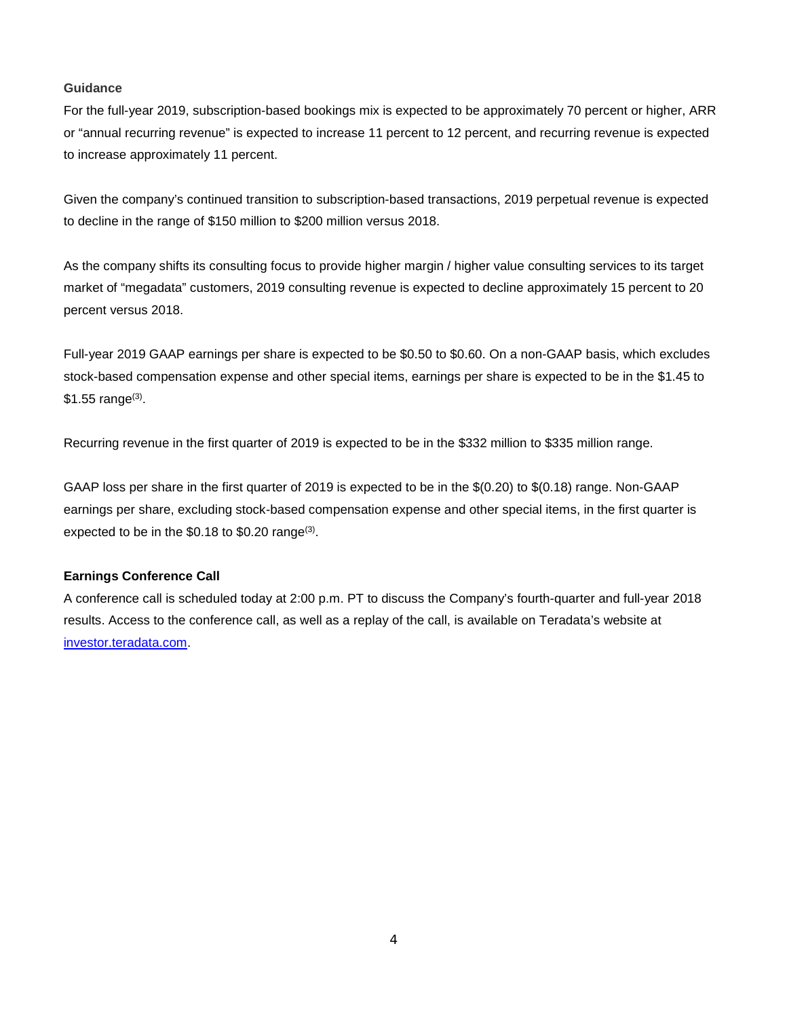## **Guidance**

For the full-year 2019, subscription-based bookings mix is expected to be approximately 70 percent or higher, ARR or "annual recurring revenue" is expected to increase 11 percent to 12 percent, and recurring revenue is expected to increase approximately 11 percent.

Given the company's continued transition to subscription-based transactions, 2019 perpetual revenue is expected to decline in the range of \$150 million to \$200 million versus 2018.

As the company shifts its consulting focus to provide higher margin / higher value consulting services to its target market of "megadata" customers, 2019 consulting revenue is expected to decline approximately 15 percent to 20 percent versus 2018.

Full-year 2019 GAAP earnings per share is expected to be \$0.50 to \$0.60. On a non-GAAP basis, which excludes stock-based compensation expense and other special items, earnings per share is expected to be in the \$1.45 to  $$1.55$  range $^{(3)}$ .

Recurring revenue in the first quarter of 2019 is expected to be in the \$332 million to \$335 million range.

GAAP loss per share in the first quarter of 2019 is expected to be in the \$(0.20) to \$(0.18) range. Non-GAAP earnings per share, excluding stock-based compensation expense and other special items, in the first quarter is expected to be in the \$0.18 to \$0.20 range<sup>(3)</sup>.

## **Earnings Conference Call**

A conference call is scheduled today at 2:00 p.m. PT to discuss the Company's fourth-quarter and full-year 2018 results. Access to the conference call, as well as a replay of the call, is available on Teradata's website at [investor.teradata.com.](http://investor.teradata.com/about-teradata/default.aspx#top)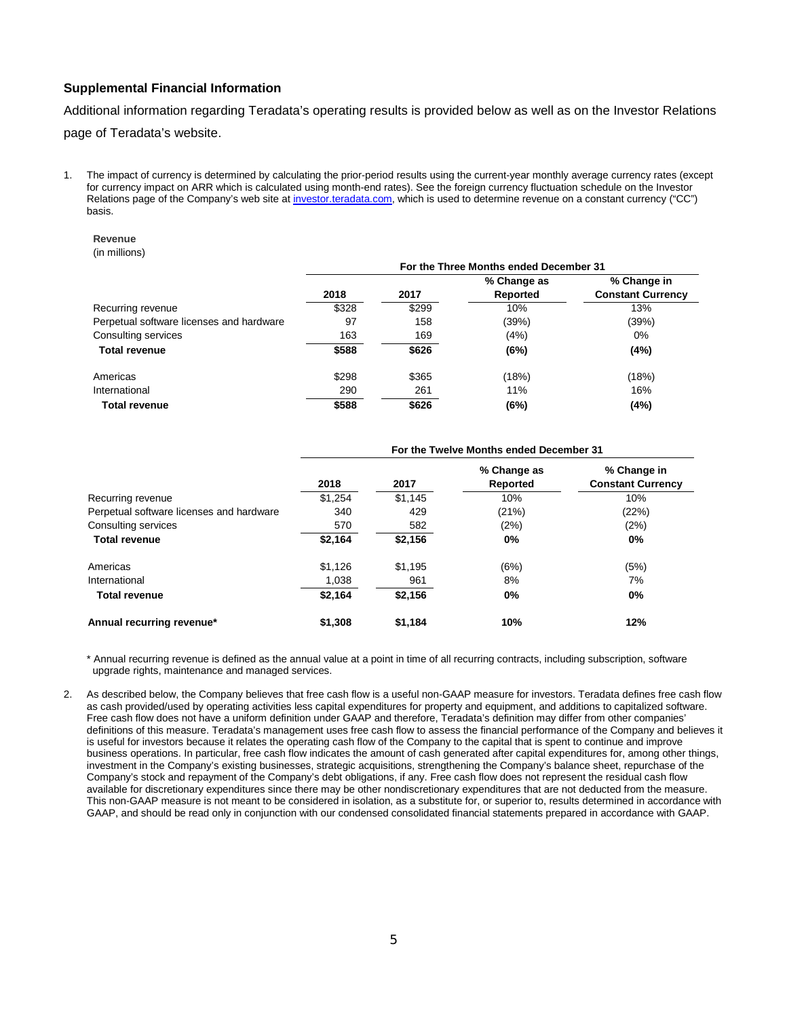## **Supplemental Financial Information**

Additional information regarding Teradata's operating results is provided below as well as on the Investor Relations page of Teradata's website.

1. The impact of currency is determined by calculating the prior-period results using the current-year monthly average currency rates (except for currency impact on ARR which is calculated using month-end rates). See the foreign currency fluctuation schedule on the Investor Relations page of the Company's web site a[t investor.teradata.com,](http://investor.teradata.com/about-teradata/default.aspx#top) which is used to determine revenue on a constant currency ("CC") basis.

#### **Revenue**

(in millions)

|                                          |       |       | For the Three Months ended December 31 |                          |
|------------------------------------------|-------|-------|----------------------------------------|--------------------------|
|                                          |       |       | % Change as                            | % Change in              |
|                                          | 2018  | 2017  | Reported                               | <b>Constant Currency</b> |
| Recurring revenue                        | \$328 | \$299 | 10%                                    | 13%                      |
| Perpetual software licenses and hardware | 97    | 158   | (39%)                                  | (39%)                    |
| Consulting services                      | 163   | 169   | (4%)                                   | 0%                       |
| <b>Total revenue</b>                     | \$588 | \$626 | (6%)                                   | (4%)                     |
| Americas                                 | \$298 | \$365 | (18%)                                  | (18%)                    |
| International                            | 290   | 261   | 11%                                    | 16%                      |
| <b>Total revenue</b>                     | \$588 | \$626 | (6%)                                   | (4%)                     |

|                                          |         |         | For the Twelve Months ended December 31 |                                         |
|------------------------------------------|---------|---------|-----------------------------------------|-----------------------------------------|
|                                          | 2018    | 2017    | % Change as<br>Reported                 | % Change in<br><b>Constant Currency</b> |
| Recurring revenue                        | \$1.254 | \$1,145 | 10%                                     | 10%                                     |
| Perpetual software licenses and hardware | 340     | 429     | (21%)                                   | (22%)                                   |
| Consulting services                      | 570     | 582     | (2%)                                    | (2%)                                    |
| <b>Total revenue</b>                     | \$2,164 | \$2,156 | 0%                                      | 0%                                      |
| Americas                                 | \$1.126 | \$1,195 | (6%)                                    | (5%)                                    |
| International                            | 1,038   | 961     | 8%                                      | 7%                                      |
| <b>Total revenue</b>                     | \$2,164 | \$2,156 | 0%                                      | $0\%$                                   |
| Annual recurring revenue*                | \$1,308 | \$1.184 | 10%                                     | 12%                                     |

\* Annual recurring revenue is defined as the annual value at a point in time of all recurring contracts, including subscription, software upgrade rights, maintenance and managed services.

2. As described below, the Company believes that free cash flow is a useful non-GAAP measure for investors. Teradata defines free cash flow as cash provided/used by operating activities less capital expenditures for property and equipment, and additions to capitalized software. Free cash flow does not have a uniform definition under GAAP and therefore, Teradata's definition may differ from other companies' definitions of this measure. Teradata's management uses free cash flow to assess the financial performance of the Company and believes it is useful for investors because it relates the operating cash flow of the Company to the capital that is spent to continue and improve business operations. In particular, free cash flow indicates the amount of cash generated after capital expenditures for, among other things, investment in the Company's existing businesses, strategic acquisitions, strengthening the Company's balance sheet, repurchase of the Company's stock and repayment of the Company's debt obligations, if any. Free cash flow does not represent the residual cash flow available for discretionary expenditures since there may be other nondiscretionary expenditures that are not deducted from the measure. This non-GAAP measure is not meant to be considered in isolation, as a substitute for, or superior to, results determined in accordance with GAAP, and should be read only in conjunction with our condensed consolidated financial statements prepared in accordance with GAAP.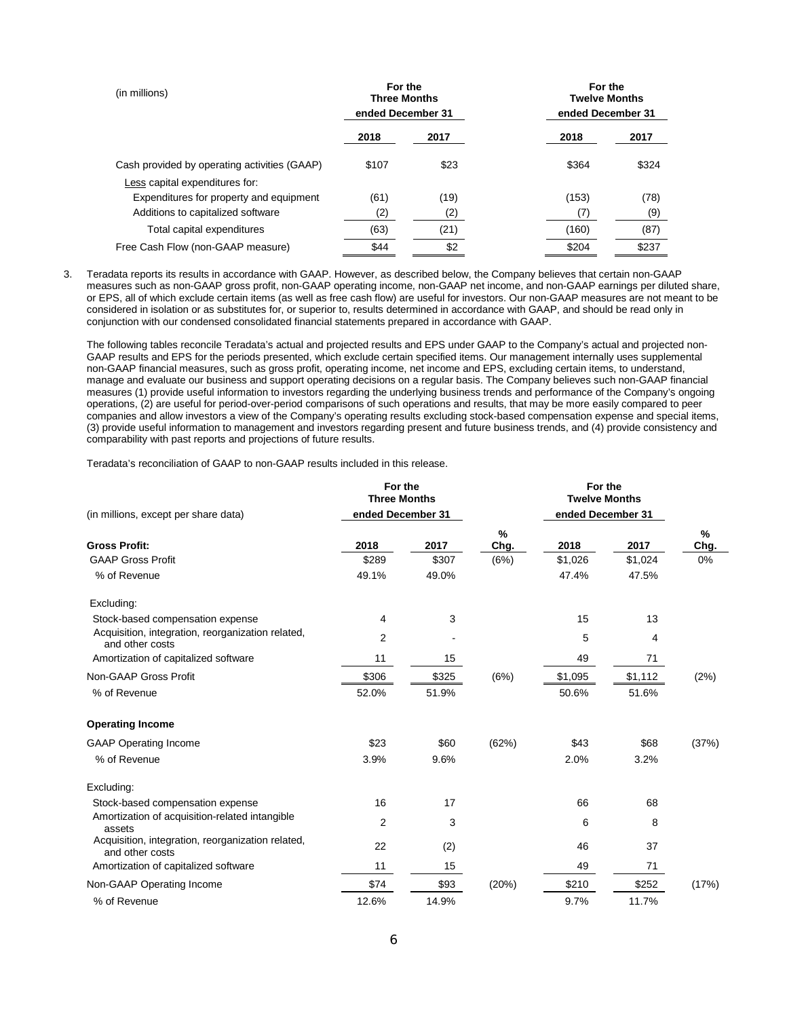| (in millions)                                | For the<br><b>Three Months</b> |      | For the<br><b>Twelve Months</b> |       |  |  |  |
|----------------------------------------------|--------------------------------|------|---------------------------------|-------|--|--|--|
|                                              | ended December 31              |      | ended December 31               |       |  |  |  |
|                                              | 2018                           | 2017 | 2018                            | 2017  |  |  |  |
| Cash provided by operating activities (GAAP) | \$107                          | \$23 | \$364                           | \$324 |  |  |  |
| Less capital expenditures for:               |                                |      |                                 |       |  |  |  |
| Expenditures for property and equipment      | (61)                           | (19) | (153)                           | (78)  |  |  |  |
| Additions to capitalized software            | (2)                            | (2)  | (7)                             | (9)   |  |  |  |
| Total capital expenditures                   | (63)                           | (21) | (160)                           | (87)  |  |  |  |
| Free Cash Flow (non-GAAP measure)            | \$44                           | \$2  | \$204                           | \$237 |  |  |  |

3. Teradata reports its results in accordance with GAAP. However, as described below, the Company believes that certain non-GAAP measures such as non-GAAP gross profit, non-GAAP operating income, non-GAAP net income, and non-GAAP earnings per diluted share, or EPS, all of which exclude certain items (as well as free cash flow) are useful for investors. Our non-GAAP measures are not meant to be considered in isolation or as substitutes for, or superior to, results determined in accordance with GAAP, and should be read only in conjunction with our condensed consolidated financial statements prepared in accordance with GAAP.

The following tables reconcile Teradata's actual and projected results and EPS under GAAP to the Company's actual and projected non-GAAP results and EPS for the periods presented, which exclude certain specified items. Our management internally uses supplemental non-GAAP financial measures, such as gross profit, operating income, net income and EPS, excluding certain items, to understand, manage and evaluate our business and support operating decisions on a regular basis. The Company believes such non-GAAP financial measures (1) provide useful information to investors regarding the underlying business trends and performance of the Company's ongoing operations, (2) are useful for period-over-period comparisons of such operations and results, that may be more easily compared to peer companies and allow investors a view of the Company's operating results excluding stock-based compensation expense and special items, (3) provide useful information to management and investors regarding present and future business trends, and (4) provide consistency and comparability with past reports and projections of future results.

Teradata's reconciliation of GAAP to non-GAAP results included in this release.

| (in millions, except per share data)                                 | For the<br><b>Three Months</b><br>ended December 31 |       |           | For the<br><b>Twelve Months</b><br>ended December 31 |         |           |
|----------------------------------------------------------------------|-----------------------------------------------------|-------|-----------|------------------------------------------------------|---------|-----------|
| <b>Gross Profit:</b>                                                 | 2018                                                | 2017  | %<br>Chg. | 2018                                                 | 2017    | %<br>Chg. |
| <b>GAAP Gross Profit</b>                                             | \$289                                               | \$307 | (6%)      | \$1,026                                              | \$1,024 | 0%        |
| % of Revenue                                                         | 49.1%                                               | 49.0% |           | 47.4%                                                | 47.5%   |           |
| Excluding:                                                           |                                                     |       |           |                                                      |         |           |
| Stock-based compensation expense                                     | 4                                                   | 3     |           | 15                                                   | 13      |           |
| Acquisition, integration, reorganization related,<br>and other costs | 2                                                   |       |           | 5                                                    | 4       |           |
| Amortization of capitalized software                                 | 11                                                  | 15    |           | 49                                                   | 71      |           |
| Non-GAAP Gross Profit                                                | \$306                                               | \$325 | (6%)      | \$1,095                                              | \$1,112 | (2%)      |
| % of Revenue                                                         | 52.0%                                               | 51.9% |           | 50.6%                                                | 51.6%   |           |
| <b>Operating Income</b>                                              |                                                     |       |           |                                                      |         |           |
| <b>GAAP Operating Income</b>                                         | \$23                                                | \$60  | (62%)     | \$43                                                 | \$68    | (37%)     |
| % of Revenue                                                         | 3.9%                                                | 9.6%  |           | 2.0%                                                 | 3.2%    |           |
| Excluding:                                                           |                                                     |       |           |                                                      |         |           |
| Stock-based compensation expense                                     | 16                                                  | 17    |           | 66                                                   | 68      |           |
| Amortization of acquisition-related intangible<br>assets             | $\overline{2}$                                      | 3     |           | 6                                                    | 8       |           |
| Acquisition, integration, reorganization related,<br>and other costs | 22                                                  | (2)   |           | 46                                                   | 37      |           |
| Amortization of capitalized software                                 | 11                                                  | 15    |           | 49                                                   | 71      |           |
| Non-GAAP Operating Income                                            | \$74                                                | \$93  | (20%)     | \$210                                                | \$252   | (17%)     |
| % of Revenue                                                         | 12.6%                                               | 14.9% |           | 9.7%                                                 | 11.7%   |           |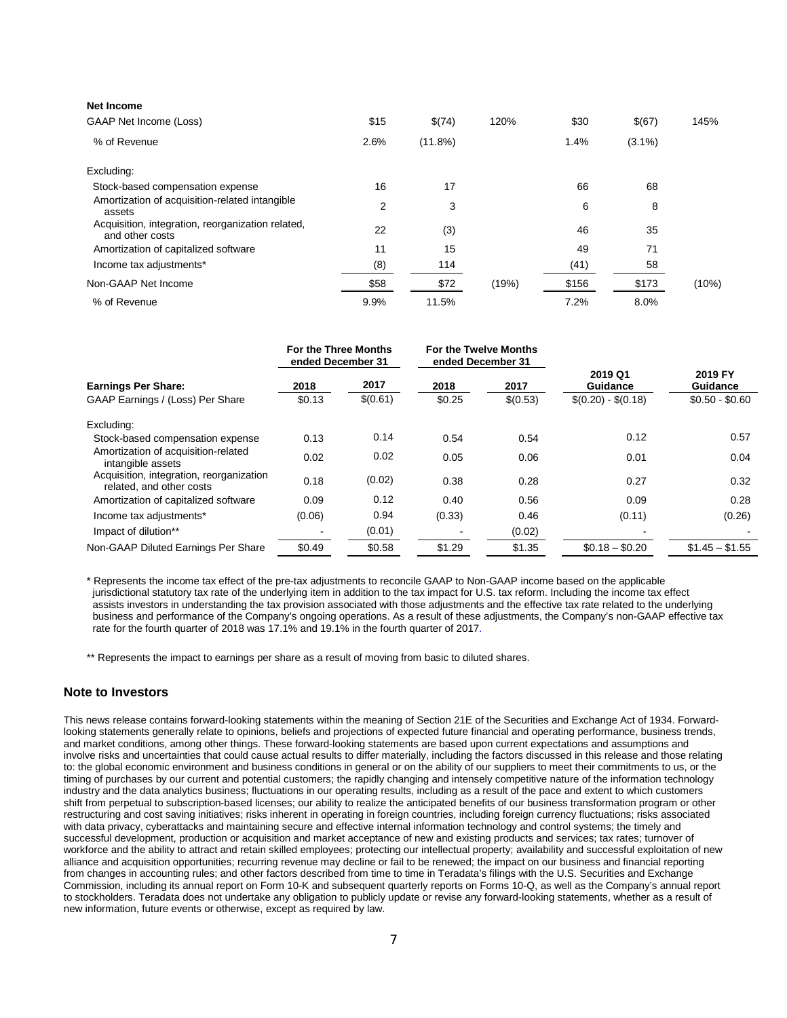| Net Income                                                           |      |            |       |       |           |       |
|----------------------------------------------------------------------|------|------------|-------|-------|-----------|-------|
| GAAP Net Income (Loss)                                               | \$15 | \$(74)     | 120%  | \$30  | \$(67)    | 145%  |
| % of Revenue                                                         | 2.6% | $(11.8\%)$ |       | 1.4%  | $(3.1\%)$ |       |
| Excluding:                                                           |      |            |       |       |           |       |
| Stock-based compensation expense                                     | 16   | 17         |       | 66    | 68        |       |
| Amortization of acquisition-related intangible<br>assets             | 2    | 3          |       | 6     | 8         |       |
| Acquisition, integration, reorganization related,<br>and other costs | 22   | (3)        |       | 46    | 35        |       |
| Amortization of capitalized software                                 | 11   | 15         |       | 49    | 71        |       |
| Income tax adjustments*                                              | (8)  | 114        |       | (41)  | 58        |       |
| Non-GAAP Net Income                                                  | \$58 | \$72       | (19%) | \$156 | \$173     | (10%) |
| % of Revenue                                                         | 9.9% | 11.5%      |       | 7.2%  | 8.0%      |       |

|                                                                      | <b>For the Three Months</b><br>ended December 31 |                  | For the Twelve Months<br>ended December 31 |                  |                                             |                                        |  |  |
|----------------------------------------------------------------------|--------------------------------------------------|------------------|--------------------------------------------|------------------|---------------------------------------------|----------------------------------------|--|--|
| <b>Earnings Per Share:</b><br>GAAP Earnings / (Loss) Per Share       | 2018<br>\$0.13                                   | 2017<br>\$(0.61) | 2018<br>\$0.25                             | 2017<br>\$(0.53) | 2019 Q1<br>Guidance<br>$$(0.20) - $(0.18)$$ | 2019 FY<br>Guidance<br>$$0.50 - $0.60$ |  |  |
| Excluding:                                                           |                                                  |                  |                                            |                  |                                             |                                        |  |  |
| Stock-based compensation expense                                     | 0.13                                             | 0.14             | 0.54                                       | 0.54             | 0.12                                        | 0.57                                   |  |  |
| Amortization of acquisition-related<br>intangible assets             | 0.02                                             | 0.02             | 0.05                                       | 0.06             | 0.01                                        | 0.04                                   |  |  |
| Acquisition, integration, reorganization<br>related, and other costs | 0.18                                             | (0.02)           | 0.38                                       | 0.28             | 0.27                                        | 0.32                                   |  |  |
| Amortization of capitalized software                                 | 0.09                                             | 0.12             | 0.40                                       | 0.56             | 0.09                                        | 0.28                                   |  |  |
| Income tax adjustments*                                              | (0.06)                                           | 0.94             | (0.33)                                     | 0.46             | (0.11)                                      | (0.26)                                 |  |  |
| Impact of dilution**                                                 |                                                  | (0.01)           |                                            | (0.02)           |                                             |                                        |  |  |
| Non-GAAP Diluted Earnings Per Share                                  | \$0.49                                           | \$0.58           | \$1.29                                     | \$1.35           | $$0.18 - $0.20$                             | $$1.45 - $1.55$                        |  |  |

\* Represents the income tax effect of the pre-tax adjustments to reconcile GAAP to Non-GAAP income based on the applicable jurisdictional statutory tax rate of the underlying item in addition to the tax impact for U.S. tax reform. Including the income tax effect assists investors in understanding the tax provision associated with those adjustments and the effective tax rate related to the underlying business and performance of the Company's ongoing operations. As a result of these adjustments, the Company's non-GAAP effective tax rate for the fourth quarter of 2018 was 17.1% and 19.1% in the fourth quarter of 2017.

\*\* Represents the impact to earnings per share as a result of moving from basic to diluted shares.

#### **Note to Investors**

This news release contains forward-looking statements within the meaning of Section 21E of the Securities and Exchange Act of 1934. Forwardlooking statements generally relate to opinions, beliefs and projections of expected future financial and operating performance, business trends, and market conditions, among other things. These forward-looking statements are based upon current expectations and assumptions and involve risks and uncertainties that could cause actual results to differ materially, including the factors discussed in this release and those relating to: the global economic environment and business conditions in general or on the ability of our suppliers to meet their commitments to us, or the timing of purchases by our current and potential customers; the rapidly changing and intensely competitive nature of the information technology industry and the data analytics business; fluctuations in our operating results, including as a result of the pace and extent to which customers shift from perpetual to subscription-based licenses; our ability to realize the anticipated benefits of our business transformation program or other restructuring and cost saving initiatives; risks inherent in operating in foreign countries, including foreign currency fluctuations; risks associated with data privacy, cyberattacks and maintaining secure and effective internal information technology and control systems; the timely and successful development, production or acquisition and market acceptance of new and existing products and services; tax rates; turnover of workforce and the ability to attract and retain skilled employees; protecting our intellectual property; availability and successful exploitation of new alliance and acquisition opportunities; recurring revenue may decline or fail to be renewed; the impact on our business and financial reporting from changes in accounting rules; and other factors described from time to time in Teradata's filings with the U.S. Securities and Exchange Commission, including its annual report on Form 10-K and subsequent quarterly reports on Forms 10-Q, as well as the Company's annual report to stockholders. Teradata does not undertake any obligation to publicly update or revise any forward-looking statements, whether as a result of new information, future events or otherwise, except as required by law.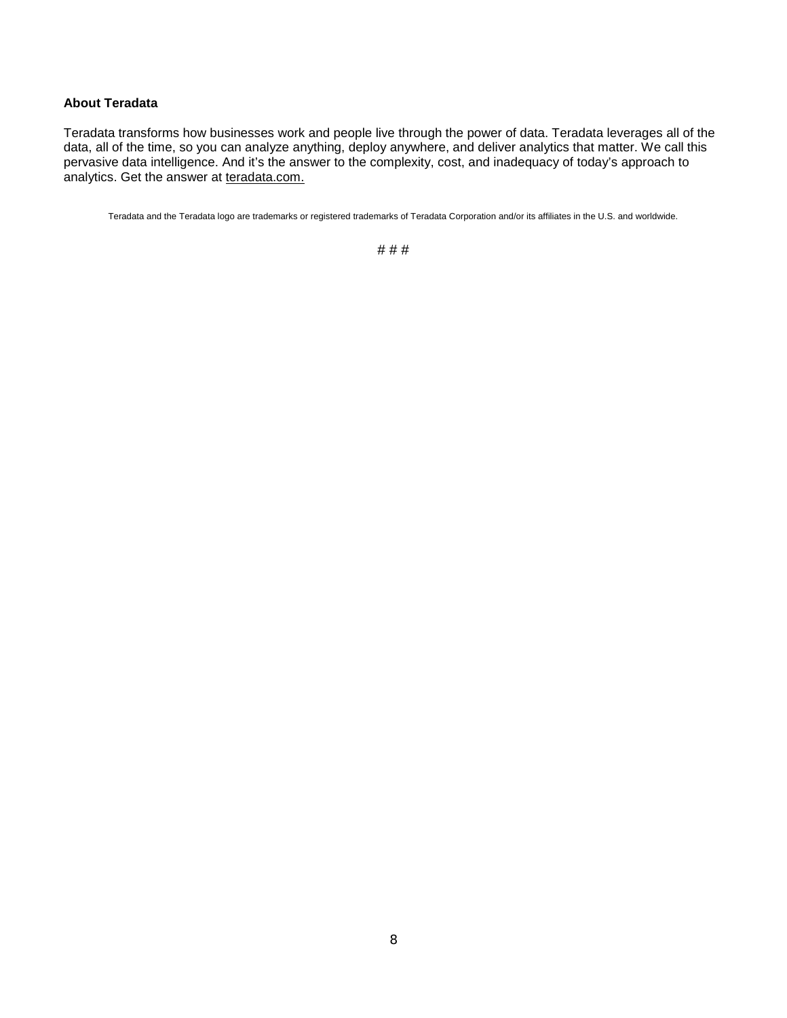## **About Teradata**

Teradata transforms how businesses work and people live through the power of data. Teradata leverages all of the data, all of the time, so you can analyze anything, deploy anywhere, and deliver analytics that matter. We call this pervasive data intelligence. And it's the answer to the complexity, cost, and inadequacy of today's approach to analytics. Get the answer at [teradata.com.](http://www.teradata.com/)

Teradata and the Teradata logo are trademarks or registered trademarks of Teradata Corporation and/or its affiliates in the U.S. and worldwide.

## # # #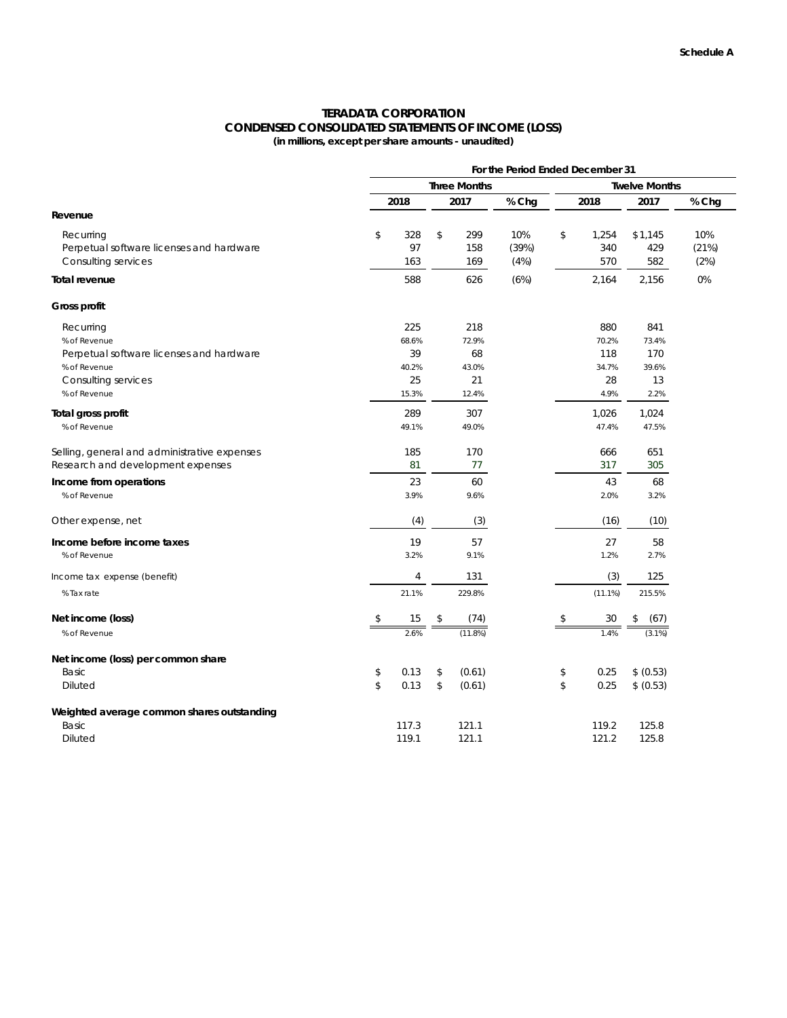## **TERADATA CORPORATION CONDENSED CONSOLIDATED STATEMENTS OF INCOME (LOSS) (in millions, except per share amounts - unaudited)**

|                                              | For the Period Ended December 31 |                     |    |         |       |    |                      |            |       |  |
|----------------------------------------------|----------------------------------|---------------------|----|---------|-------|----|----------------------|------------|-------|--|
|                                              |                                  | <b>Three Months</b> |    |         |       |    | <b>Twelve Months</b> |            |       |  |
|                                              |                                  | 2018                |    | 2017    | % Chg |    | 2018                 | 2017       | % Chg |  |
| Revenue                                      |                                  |                     |    |         |       |    |                      |            |       |  |
| Recurring                                    | \$                               | 328                 | \$ | 299     | 10%   | \$ | 1,254                | \$1,145    | 10%   |  |
| Perpetual software licenses and hardware     |                                  | 97                  |    | 158     | (39%) |    | 340                  | 429        | (21%) |  |
| Consulting services                          |                                  | 163                 |    | 169     | (4%)  |    | 570                  | 582        | (2%)  |  |
| <b>Total revenue</b>                         |                                  | 588                 |    | 626     | (6%)  |    | 2,164                | 2,156      | 0%    |  |
| Gross profit                                 |                                  |                     |    |         |       |    |                      |            |       |  |
| Recurring                                    |                                  | 225                 |    | 218     |       |    | 880                  | 841        |       |  |
| % of Revenue                                 |                                  | 68.6%               |    | 72.9%   |       |    | 70.2%                | 73.4%      |       |  |
| Perpetual software licenses and hardware     |                                  | 39                  |    | 68      |       |    | 118                  | 170        |       |  |
| % of Revenue                                 |                                  | 40.2%               |    | 43.0%   |       |    | 34.7%                | 39.6%      |       |  |
| Consulting services                          |                                  | 25                  |    | 21      |       |    | 28                   | 13         |       |  |
| % of Revenue                                 |                                  | 15.3%               |    | 12.4%   |       |    | 4.9%                 | 2.2%       |       |  |
| Total gross profit                           |                                  | 289                 |    | 307     |       |    | 1,026                | 1,024      |       |  |
| % of Revenue                                 |                                  | 49.1%               |    | 49.0%   |       |    | 47.4%                | 47.5%      |       |  |
| Selling, general and administrative expenses |                                  | 185                 |    | 170     |       |    | 666                  | 651        |       |  |
| Research and development expenses            |                                  | 81                  |    | 77      |       |    | 317                  | 305        |       |  |
| Income from operations                       |                                  | 23                  |    | 60      |       |    | 43                   | 68         |       |  |
| % of Revenue                                 |                                  | 3.9%                |    | 9.6%    |       |    | 2.0%                 | 3.2%       |       |  |
| Other expense, net                           |                                  | (4)                 |    | (3)     |       |    | (16)                 | (10)       |       |  |
| Income before income taxes                   |                                  | 19                  |    | 57      |       |    | 27                   | 58         |       |  |
| % of Revenue                                 |                                  | 3.2%                |    | 9.1%    |       |    | 1.2%                 | 2.7%       |       |  |
| Income tax expense (benefit)                 |                                  | 4                   |    | 131     |       |    | (3)                  | 125        |       |  |
| % Tax rate                                   |                                  | 21.1%               |    | 229.8%  |       |    | $(11.1\%)$           | 215.5%     |       |  |
| Net income (loss)                            | \$                               | 15                  | \$ | (74)    |       | \$ | 30                   | \$<br>(67) |       |  |
| % of Revenue                                 |                                  | 2.6%                |    | (11.8%) |       |    | 1.4%                 | $(3.1\%)$  |       |  |
| Net income (loss) per common share           |                                  |                     |    |         |       |    |                      |            |       |  |
| Basic                                        | \$                               | 0.13                | \$ | (0.61)  |       | \$ | 0.25                 | \$ (0.53)  |       |  |
| <b>Diluted</b>                               | \$                               | 0.13                | \$ | (0.61)  |       | \$ | 0.25                 | \$ (0.53)  |       |  |
| Weighted average common shares outstanding   |                                  |                     |    |         |       |    |                      |            |       |  |
| Basic                                        |                                  | 117.3               |    | 121.1   |       |    | 119.2                | 125.8      |       |  |
| <b>Diluted</b>                               |                                  | 119.1               |    | 121.1   |       |    | 121.2                | 125.8      |       |  |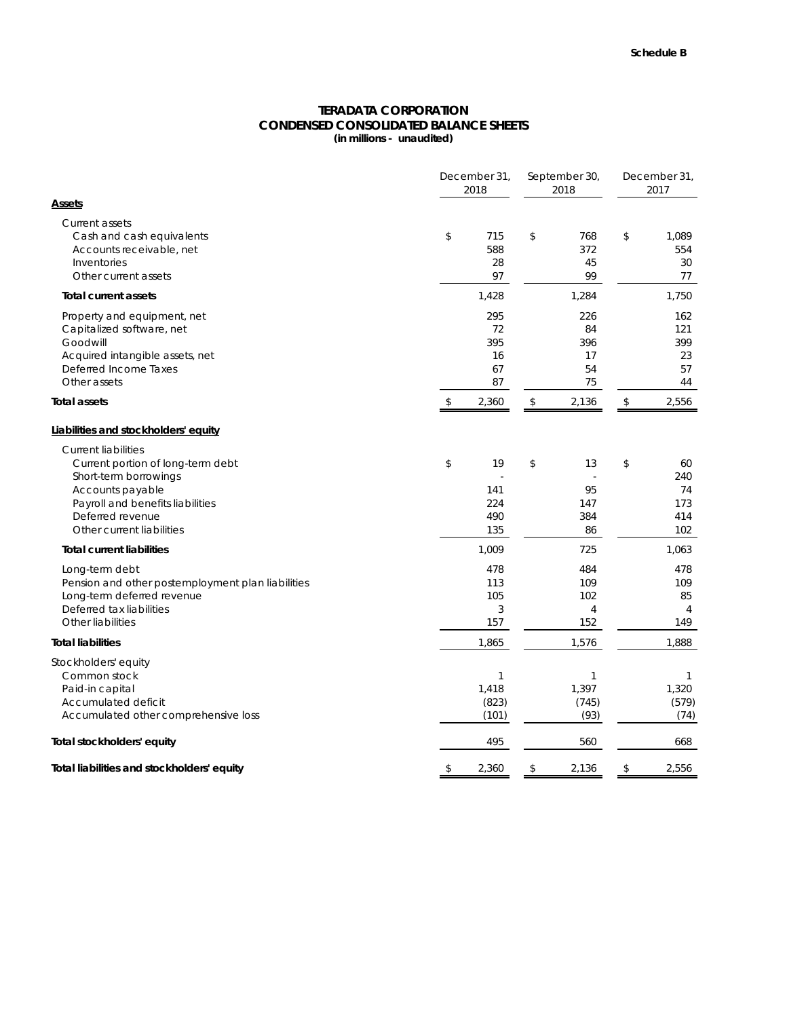## **CONDENSED CONSOLIDATED BALANCE SHEETS (in millions - unaudited) TERADATA CORPORATION**

|                                                                                                                                                                                                   | December 31,<br>2018 | September 30,<br>2018              | December 31,<br>2017               |    |                                           |
|---------------------------------------------------------------------------------------------------------------------------------------------------------------------------------------------------|----------------------|------------------------------------|------------------------------------|----|-------------------------------------------|
| <b>Assets</b>                                                                                                                                                                                     |                      |                                    |                                    |    |                                           |
| <b>Current assets</b><br>Cash and cash equivalents<br>Accounts receivable, net<br>Inventories<br>Other current assets                                                                             | \$                   | 715<br>588<br>28<br>97             | \$<br>768<br>372<br>45<br>99       | \$ | 1,089<br>554<br>30<br>77                  |
| <b>Total current assets</b>                                                                                                                                                                       |                      | 1,428                              | 1,284                              |    | 1,750                                     |
| Property and equipment, net<br>Capitalized software, net<br>Goodwill<br>Acquired intangible assets, net<br>Deferred Income Taxes<br>Other assets                                                  |                      | 295<br>72<br>395<br>16<br>67<br>87 | 226<br>84<br>396<br>17<br>54<br>75 |    | 162<br>121<br>399<br>23<br>57<br>44       |
| <b>Total assets</b>                                                                                                                                                                               | \$                   | 2,360                              | \$<br>2,136                        | \$ | 2,556                                     |
| Liabilities and stockholders' equity                                                                                                                                                              |                      |                                    |                                    |    |                                           |
| <b>Current liabilities</b><br>Current portion of long-term debt<br>Short-term borrowings<br>Accounts payable<br>Payroll and benefits liabilities<br>Deferred revenue<br>Other current liabilities | \$                   | 19<br>141<br>224<br>490<br>135     | \$<br>13<br>95<br>147<br>384<br>86 | \$ | 60<br>240<br>74<br>173<br>414<br>102      |
| <b>Total current liabilities</b>                                                                                                                                                                  |                      | 1,009                              | 725                                |    | 1,063                                     |
| Long-term debt<br>Pension and other postemployment plan liabilities<br>Long-term deferred revenue<br>Deferred tax liabilities<br>Other liabilities                                                |                      | 478<br>113<br>105<br>3<br>157      | 484<br>109<br>102<br>4<br>152      |    | 478<br>109<br>85<br>$\overline{4}$<br>149 |
| <b>Total liabilities</b>                                                                                                                                                                          |                      | 1,865                              | 1,576                              |    | 1,888                                     |
| Stockholders' equity<br>Common stock<br>Paid-in capital<br>Accumulated deficit<br>Accumulated other comprehensive loss                                                                            |                      | 1<br>1,418<br>(823)<br>(101)       | 1<br>1,397<br>(745)<br>(93)        |    | 1<br>1,320<br>(579)<br>(74)               |
| Total stockholders' equity                                                                                                                                                                        |                      | 495                                | 560                                |    | 668                                       |
| Total liabilities and stockholders' equity                                                                                                                                                        | \$                   | 2,360                              | \$<br>2,136                        | \$ | 2,556                                     |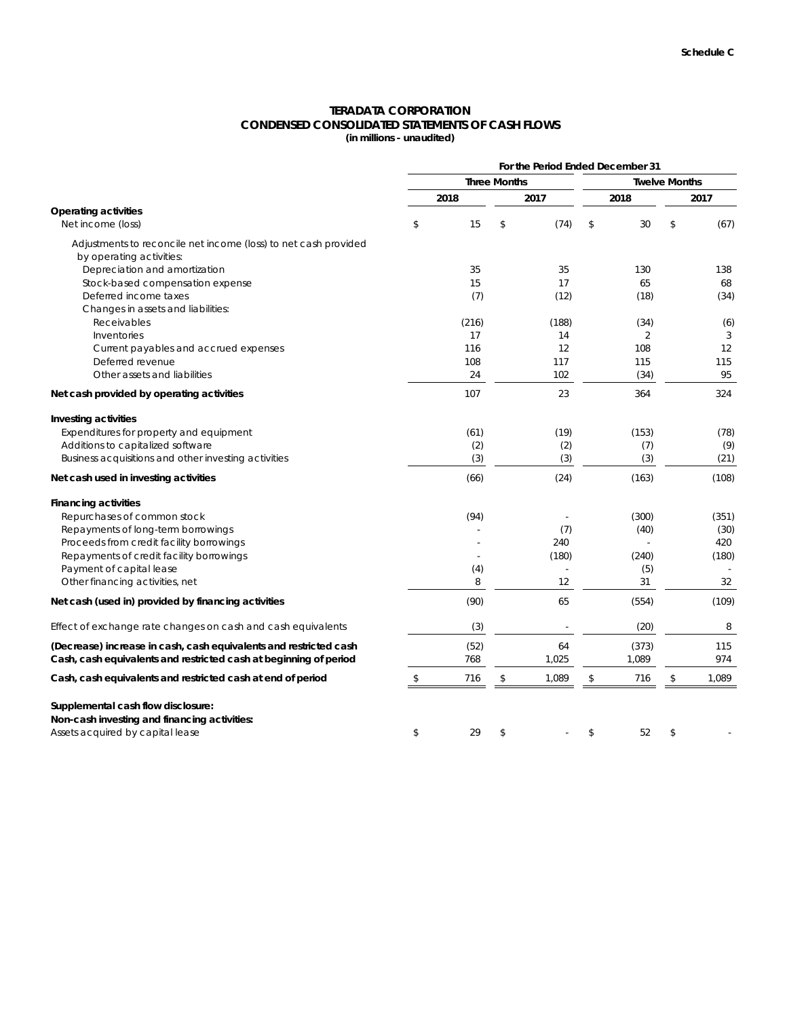# **TERADATA CORPORATION CONDENSED CONSOLIDATED STATEMENTS OF CASH FLOWS**

**(in millions - unaudited)**

|                                                                   |           |                     |                          |    | For the Period Ended December 31 |    |       |
|-------------------------------------------------------------------|-----------|---------------------|--------------------------|----|----------------------------------|----|-------|
|                                                                   |           | <b>Three Months</b> | <b>Twelve Months</b>     |    |                                  |    |       |
|                                                                   | 2018      |                     | 2017                     |    | 2018                             |    | 2017  |
| <b>Operating activities</b><br>Net income (loss)                  | \$<br>15  | \$                  | (74)                     | \$ | 30                               | \$ | (67)  |
| Adjustments to reconcile net income (loss) to net cash provided   |           |                     |                          |    |                                  |    |       |
| by operating activities:                                          |           |                     |                          |    |                                  |    |       |
| Depreciation and amortization                                     | 35        |                     | 35                       |    | 130                              |    | 138   |
| Stock-based compensation expense                                  | 15        |                     | 17                       |    | 65                               |    | 68    |
| Deferred income taxes<br>Changes in assets and liabilities:       | (7)       |                     | (12)                     |    | (18)                             |    | (34)  |
| Receivables                                                       | (216)     |                     | (188)                    |    | (34)                             |    | (6)   |
| Inventories                                                       | 17        |                     | 14                       |    | 2                                |    | 3     |
| Current payables and accrued expenses                             | 116       |                     | 12                       |    | 108                              |    | 12    |
| Deferred revenue                                                  | 108       |                     | 117                      |    | 115                              |    | 115   |
| Other assets and liabilities                                      | 24        |                     | 102                      |    | (34)                             |    | 95    |
| Net cash provided by operating activities                         | 107       |                     | 23                       |    | 364                              |    | 324   |
| Investing activities                                              |           |                     |                          |    |                                  |    |       |
| Expenditures for property and equipment                           | (61)      |                     | (19)                     |    | (153)                            |    | (78)  |
| Additions to capitalized software                                 | (2)       |                     | (2)                      |    | (7)                              |    | (9)   |
| Business acquisitions and other investing activities              | (3)       |                     | (3)                      |    | (3)                              |    | (21)  |
| Net cash used in investing activities                             | (66)      |                     | (24)                     |    | (163)                            |    | (108) |
| <b>Financing activities</b>                                       |           |                     |                          |    |                                  |    |       |
| Repurchases of common stock                                       | (94)      |                     |                          |    | (300)                            |    | (351) |
| Repayments of long-term borrowings                                |           |                     | (7)                      |    | (40)                             |    | (30)  |
| Proceeds from credit facility borrowings                          |           |                     | 240                      |    |                                  |    | 420   |
| Repayments of credit facility borrowings                          |           |                     | (180)                    |    | (240)                            |    | (180) |
| Payment of capital lease                                          | (4)       |                     |                          |    | (5)                              |    |       |
| Other financing activities, net                                   | 8         |                     | 12                       |    | 31                               |    | 32    |
| Net cash (used in) provided by financing activities               | (90)      |                     | 65                       |    | (554)                            |    | (109) |
| Effect of exchange rate changes on cash and cash equivalents      | (3)       |                     | $\overline{\phantom{a}}$ |    | (20)                             |    | 8     |
| (Decrease) increase in cash, cash equivalents and restricted cash | (52)      |                     | 64                       |    | (373)                            |    | 115   |
| Cash, cash equivalents and restricted cash at beginning of period | 768       |                     | 1,025                    |    | 1,089                            |    | 974   |
| Cash, cash equivalents and restricted cash at end of period       | \$<br>716 | \$                  | 1,089                    | \$ | 716                              | \$ | 1,089 |
| Supplemental cash flow disclosure:                                |           |                     |                          |    |                                  |    |       |
| Non-cash investing and financing activities:                      |           |                     |                          |    |                                  |    |       |
| Assets acquired by capital lease                                  | \$<br>29  | \$                  |                          | \$ | 52                               | \$ |       |